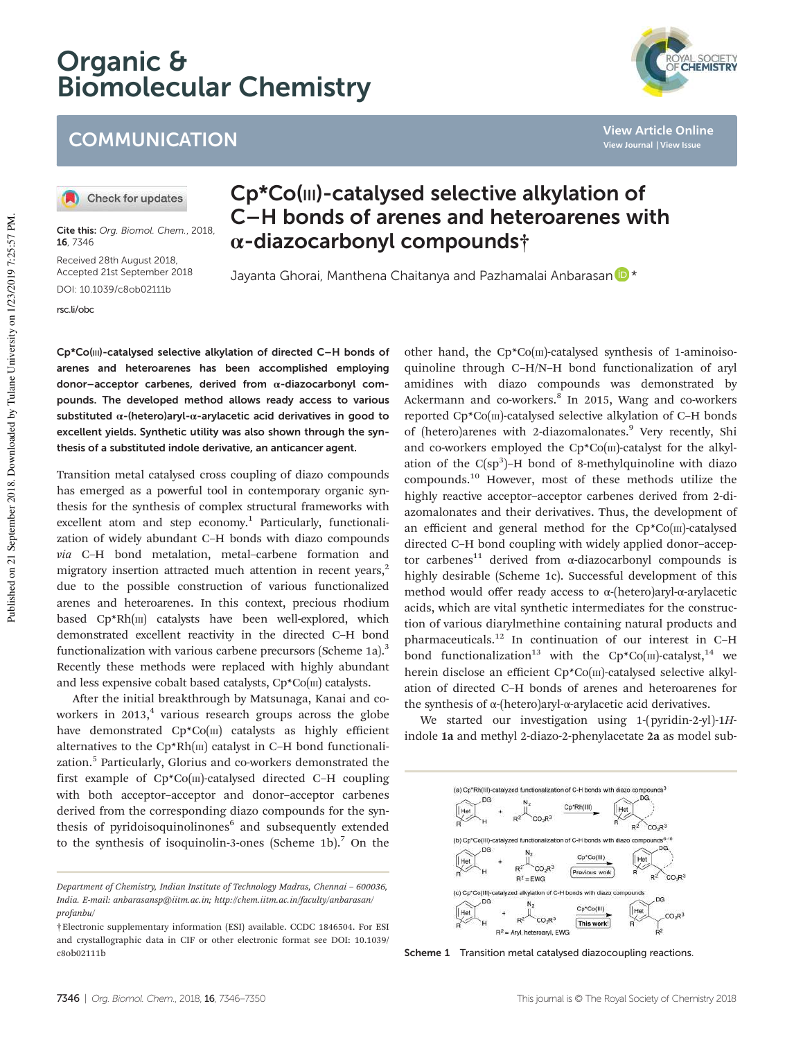# Organic & Biomolecular Chemistry



Check for updates

Cite this: Org. Biomol. Chem., 2018, 16, 7346

Received 28th August 2018, Accepted 21st September 2018 DOI: 10.1039/c8ob02111b

rsc.li/obc

## Cp\*Co(III)-catalysed selective alkylation of C–H bonds of arenes and heteroarenes with α-diazocarbonyl compounds†

Jayanta Ghorai, Manthena Chaitanya and Pazhamalai Anbarasan D \*

Cp\*Co(III)-catalysed selective alkylation of directed C–H bonds of arenes and heteroarenes has been accomplished employing donor–acceptor carbenes, derived from α-diazocarbonyl compounds. The developed method allows ready access to various substituted  $\alpha$ -(hetero)aryl- $\alpha$ -arylacetic acid derivatives in good to excellent yields. Synthetic utility was also shown through the synthesis of a substituted indole derivative, an anticancer agent.

Transition metal catalysed cross coupling of diazo compounds has emerged as a powerful tool in contemporary organic synthesis for the synthesis of complex structural frameworks with excellent atom and step economy.<sup>1</sup> Particularly, functionalization of widely abundant C–H bonds with diazo compounds *via* C–H bond metalation, metal–carbene formation and migratory insertion attracted much attention in recent years, $2$ due to the possible construction of various functionalized arenes and heteroarenes. In this context, precious rhodium based Cp\*Rh(III) catalysts have been well-explored, which demonstrated excellent reactivity in the directed C–H bond functionalization with various carbene precursors (Scheme 1a).<sup>3</sup> Recently these methods were replaced with highly abundant and less expensive cobalt based catalysts,  $Cp^*Co(m)$  catalysts.

After the initial breakthrough by Matsunaga, Kanai and coworkers in 2013, $4$  various research groups across the globe have demonstrated  $Cp*Co(m)$  catalysts as highly efficient alternatives to the  $Cp*Rh(m)$  catalyst in C-H bond functionalization.<sup>5</sup> Particularly, Glorius and co-workers demonstrated the first example of  $Cp^*Co(m)$ -catalysed directed C-H coupling with both acceptor–acceptor and donor–acceptor carbenes derived from the corresponding diazo compounds for the synthesis of pyridoisoquinolinones<sup>6</sup> and subsequently extended to the synthesis of isoquinolin-3-ones (Scheme 1b).<sup>7</sup> On the

other hand, the Cp\*Co(III)-catalysed synthesis of 1-aminoisoquinoline through C–H/N–H bond functionalization of aryl amidines with diazo compounds was demonstrated by Ackermann and co-workers.<sup>8</sup> In 2015, Wang and co-workers reported Cp\*Co(III)-catalysed selective alkylation of C-H bonds of (hetero)arenes with 2-diazomalonates.<sup>9</sup> Very recently, Shi and co-workers employed the  $Cp*Co(m)$ -catalyst for the alkylation of the  $C(sp^3)$ -H bond of 8-methylquinoline with diazo compounds.<sup>10</sup> However, most of these methods utilize the highly reactive acceptor–acceptor carbenes derived from 2-diazomalonates and their derivatives. Thus, the development of an efficient and general method for the  $Cp^*Co(m)$ -catalysed directed C–H bond coupling with widely applied donor–acceptor carbenes<sup>11</sup> derived from  $\alpha$ -diazocarbonyl compounds is highly desirable (Scheme 1c). Successful development of this method would offer ready access to α-(hetero)aryl-α-arylacetic acids, which are vital synthetic intermediates for the construction of various diarylmethine containing natural products and pharmaceuticals.<sup>12</sup> In continuation of our interest in C–H bond functionalization<sup>13</sup> with the Cp\*Co(III)-catalyst,<sup>14</sup> we herein disclose an efficient Cp\*Co(III)-catalysed selective alkylation of directed C–H bonds of arenes and heteroarenes for the synthesis of α-(hetero)aryl-α-arylacetic acid derivatives.

We started our investigation using 1-(pyridin-2-yl)-1*H*indole 1a and methyl 2-diazo-2-phenylacetate 2a as model sub-



Scheme 1 Transition metal catalysed diazocoupling reactions.



**View Article Online View Journal | View Issue**

*Department of Chemistry, Indian Institute of Technology Madras, Chennai* – *600036, India. E-mail: anbarasansp@iitm.ac.in; http://chem.iitm.ac.in/faculty/anbarasan/ profanbu/*

<sup>†</sup>Electronic supplementary information (ESI) available. CCDC 1846504. For ESI and crystallographic data in CIF or other electronic format see DOI: 10.1039/ c8ob02111b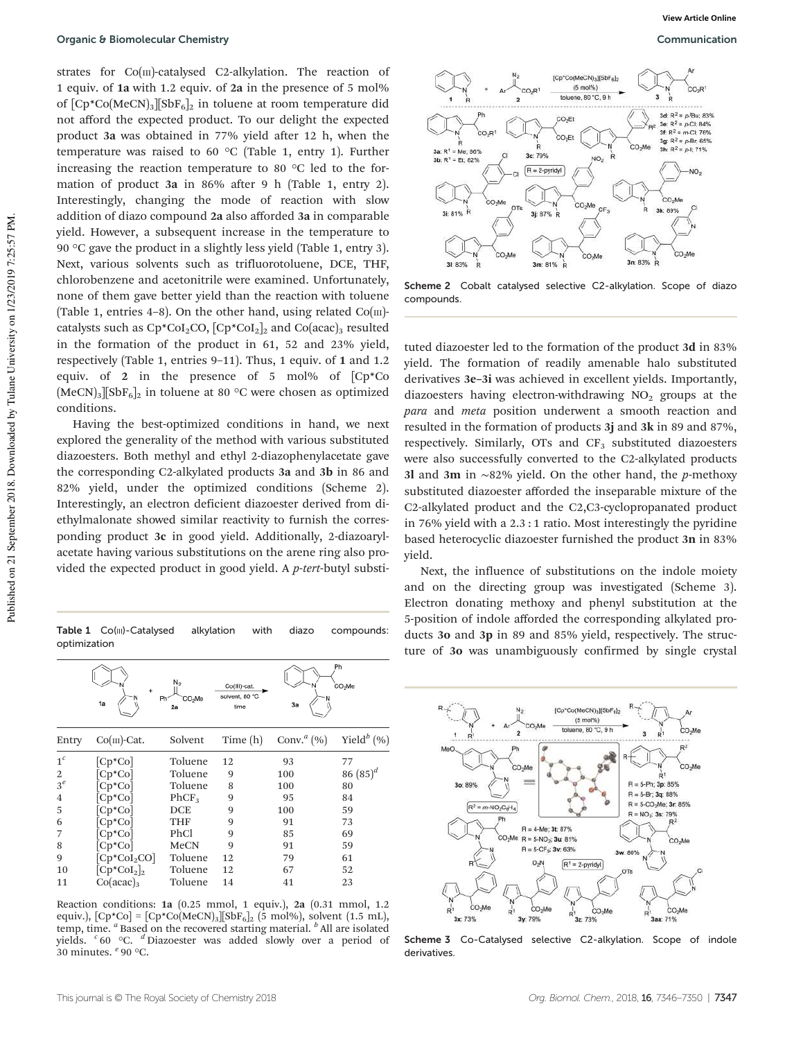strates for Co(III)-catalysed C2-alkylation. The reaction of 1 equiv. of 1a with 1.2 equiv. of 2a in the presence of 5 mol% of  $[CP^*Co(MeCN)_3][SbF_6]_2$  in toluene at room temperature did not afford the expected product. To our delight the expected product 3a was obtained in 77% yield after 12 h, when the temperature was raised to 60 °C (Table 1, entry 1). Further increasing the reaction temperature to 80 °C led to the formation of product 3a in 86% after 9 h (Table 1, entry 2). Interestingly, changing the mode of reaction with slow addition of diazo compound 2a also afforded 3a in comparable yield. However, a subsequent increase in the temperature to 90 °C gave the product in a slightly less yield (Table 1, entry 3). Next, various solvents such as trifluorotoluene, DCE, THF, chlorobenzene and acetonitrile were examined. Unfortunately, none of them gave better yield than the reaction with toluene (Table 1, entries 4–8). On the other hand, using related  $Co(m)$ catalysts such as  $Cp^*CoI_2CO$ ,  $[CP^*CoI_2]_2$  and  $Co(acac)_3$  resulted in the formation of the product in 61, 52 and 23% yield, respectively (Table 1, entries 9–11). Thus, 1 equiv. of 1 and 1.2 equiv. of 2 in the presence of 5 mol% of [Cp\*Co  $(MeCN)_3$ <sup>[</sup>SbF<sub>6</sub>]<sub>2</sub> in toluene at 80 °C were chosen as optimized conditions.

Having the best-optimized conditions in hand, we next explored the generality of the method with various substituted diazoesters. Both methyl and ethyl 2-diazophenylacetate gave the corresponding C2-alkylated products 3a and 3b in 86 and 82% yield, under the optimized conditions (Scheme 2). Interestingly, an electron deficient diazoester derived from diethylmalonate showed similar reactivity to furnish the corresponding product 3c in good yield. Additionally, 2-diazoarylacetate having various substitutions on the arene ring also provided the expected product in good yield. A *p*-*tert*-butyl substi-

Table 1 Co(III)-Catalysed alkylation with diazo compounds: optimization

|                | 1a              | N <sub>2</sub><br>CO <sub>2</sub> Me<br>Ph'<br>2a | Co(III)-cat.<br>solvent, 80 °C<br>time | 3a           | Ph<br>CO <sub>2</sub> Me  |
|----------------|-----------------|---------------------------------------------------|----------------------------------------|--------------|---------------------------|
| Entry          | $Co(m)$ -Cat.   | Solvent                                           | Time (h)                               | Conv. $a(%)$ | Yield <sup>b</sup> $(\%)$ |
| 1 <sup>c</sup> | $[Cp*Co]$       | Toluene                                           | 12                                     | 93           | 77                        |
| 2              | $[Cp*Co]$       | Toluene                                           | 9                                      | 100          | 86 $(85)^d$               |
| $3^e$          | $Cp*Co$         | Toluene                                           | 8                                      | 100          | 80                        |
| $\overline{4}$ | $[Cp*Co]$       | PhCF <sub>3</sub>                                 | 9                                      | 95           | 84                        |
| 5              | $[Cp*Co]$       | DCE                                               | 9                                      | 100          | 59                        |
| 6              | $[Cp*Co]$       | <b>THF</b>                                        | 9                                      | 91           | 73                        |
| 7              | $[Cp*Co]$       | PhCl                                              | 9                                      | 85           | 69                        |
| 8              | $[Cp*Co]$       | MeCN                                              | 9                                      | 91           | 59                        |
| 9              | $[Cp*CoI2CO]$   | Toluene                                           | 12                                     | 79           | 61                        |
| 10             | $[Cp^*Col_2]_2$ | Toluene                                           | 12                                     | 67           | 52                        |
| 11             | $Co(acac)_3$    | Toluene                                           | 14                                     | 41           | 23                        |

Reaction conditions: 1a (0.25 mmol, 1 equiv.), 2a (0.31 mmol, 1.2 equiv.), [Cp\*Co] = [Cp\*Co(MeCN)<sub>3</sub>][SbF<sub>6</sub>]<sub>2</sub> (5 mol%), solvent (1.5 mL),<br>temp, time. <sup>*a*</sup> Based on the recovered starting material. <sup>*b*</sup> All are isolated yields. *<sup>c</sup>* 60 °C. *<sup>d</sup>* Diazoester was added slowly over a period of 30 minutes. *<sup>e</sup>* 90 °C.



Scheme 2 Cobalt catalysed selective C2-alkylation. Scope of diazo compounds.

tuted diazoester led to the formation of the product 3d in 83% yield. The formation of readily amenable halo substituted derivatives 3e–3i was achieved in excellent yields. Importantly, diazoesters having electron-withdrawing  $NO<sub>2</sub>$  groups at the *para* and *meta* position underwent a smooth reaction and resulted in the formation of products 3j and 3k in 89 and 87%, respectively. Similarly,  $OTs$  and  $CF<sub>3</sub>$  substituted diazoesters were also successfully converted to the C2-alkylated products 3l and 3m in ∼82% yield. On the other hand, the *p*-methoxy substituted diazoester afforded the inseparable mixture of the C2-alkylated product and the C2,C3-cyclopropanated product in 76% yield with a 2.3 : 1 ratio. Most interestingly the pyridine based heterocyclic diazoester furnished the product 3n in 83% yield.

Next, the influence of substitutions on the indole moiety and on the directing group was investigated (Scheme 3). Electron donating methoxy and phenyl substitution at the 5-position of indole afforded the corresponding alkylated products 3o and 3p in 89 and 85% yield, respectively. The structure of 3o was unambiguously confirmed by single crystal



Scheme 3 Co-Catalysed selective C2-alkylation. Scope of indole derivatives.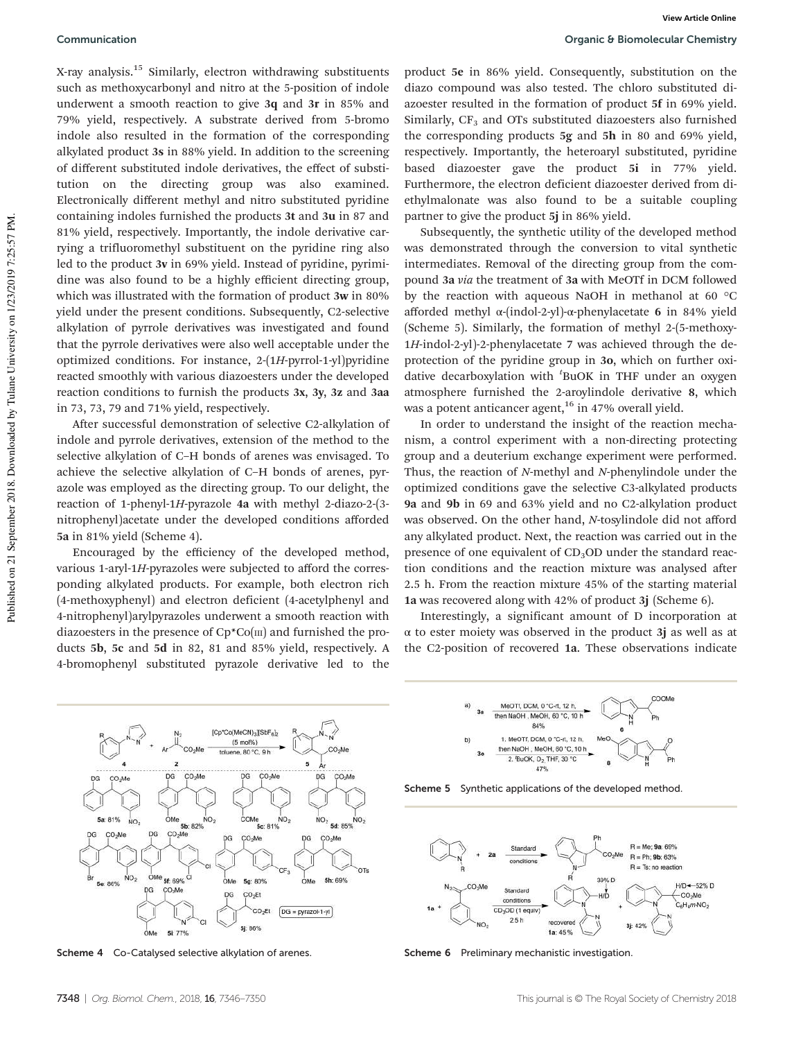**View Article Online**

X-ray analysis.<sup>15</sup> Similarly, electron withdrawing substituents such as methoxycarbonyl and nitro at the 5-position of indole underwent a smooth reaction to give 3q and 3r in 85% and 79% yield, respectively. A substrate derived from 5-bromo indole also resulted in the formation of the corresponding alkylated product 3s in 88% yield. In addition to the screening of different substituted indole derivatives, the effect of substitution on the directing group was also examined. Electronically different methyl and nitro substituted pyridine containing indoles furnished the products 3t and 3u in 87 and 81% yield, respectively. Importantly, the indole derivative carrying a trifluoromethyl substituent on the pyridine ring also led to the product 3v in 69% yield. Instead of pyridine, pyrimidine was also found to be a highly efficient directing group, which was illustrated with the formation of product 3w in 80% yield under the present conditions. Subsequently, C2-selective alkylation of pyrrole derivatives was investigated and found that the pyrrole derivatives were also well acceptable under the optimized conditions. For instance, 2-(1*H*-pyrrol-1-yl)pyridine reacted smoothly with various diazoesters under the developed reaction conditions to furnish the products 3x, 3y, 3z and 3aa in 73, 73, 79 and 71% yield, respectively.

After successful demonstration of selective C2-alkylation of indole and pyrrole derivatives, extension of the method to the selective alkylation of C–H bonds of arenes was envisaged. To achieve the selective alkylation of C–H bonds of arenes, pyrazole was employed as the directing group. To our delight, the reaction of 1-phenyl-1*H*-pyrazole 4a with methyl 2-diazo-2-(3 nitrophenyl)acetate under the developed conditions afforded 5a in 81% yield (Scheme 4).

Encouraged by the efficiency of the developed method, various 1-aryl-1*H*-pyrazoles were subjected to afford the corresponding alkylated products. For example, both electron rich (4-methoxyphenyl) and electron deficient (4-acetylphenyl and 4-nitrophenyl)arylpyrazoles underwent a smooth reaction with diazoesters in the presence of  $Cp^*Co(m)$  and furnished the products 5b, 5c and 5d in 82, 81 and 85% yield, respectively. A 4-bromophenyl substituted pyrazole derivative led to the

product 5e in 86% yield. Consequently, substitution on the diazo compound was also tested. The chloro substituted diazoester resulted in the formation of product 5f in 69% yield. Similarly,  $CF<sub>3</sub>$  and OTs substituted diazoesters also furnished the corresponding products 5g and 5h in 80 and 69% yield, respectively. Importantly, the heteroaryl substituted, pyridine based diazoester gave the product 5i in 77% yield. Furthermore, the electron deficient diazoester derived from diethylmalonate was also found to be a suitable coupling partner to give the product 5j in 86% yield.

Subsequently, the synthetic utility of the developed method was demonstrated through the conversion to vital synthetic intermediates. Removal of the directing group from the compound 3a *via* the treatment of 3a with MeOTf in DCM followed by the reaction with aqueous NaOH in methanol at 60 °C afforded methyl α-(indol-2-yl)-α-phenylacetate 6 in 84% yield (Scheme 5). Similarly, the formation of methyl 2-(5-methoxy-1*H*-indol-2-yl)-2-phenylacetate 7 was achieved through the deprotection of the pyridine group in 3o, which on further oxidative decarboxylation with *<sup>t</sup>* BuOK in THF under an oxygen atmosphere furnished the 2-aroylindole derivative 8, which was a potent anticancer agent, $16$  in 47% overall yield.

In order to understand the insight of the reaction mechanism, a control experiment with a non-directing protecting group and a deuterium exchange experiment were performed. Thus, the reaction of *N*-methyl and *N*-phenylindole under the optimized conditions gave the selective C3-alkylated products 9a and 9b in 69 and 63% yield and no C2-alkylation product was observed. On the other hand, *N*-tosylindole did not afford any alkylated product. Next, the reaction was carried out in the presence of one equivalent of  $CD<sub>3</sub>OD$  under the standard reaction conditions and the reaction mixture was analysed after 2.5 h. From the reaction mixture 45% of the starting material 1a was recovered along with 42% of product 3j (Scheme 6).

Interestingly, a significant amount of D incorporation at  $\alpha$  to ester moiety was observed in the product 3*j* as well as at the C2-position of recovered 1a. These observations indicate



Scheme 4 Co-Catalysed selective alkylation of arenes.



Scheme 5 Synthetic applications of the developed method.



Scheme 6 Preliminary mechanistic investigation.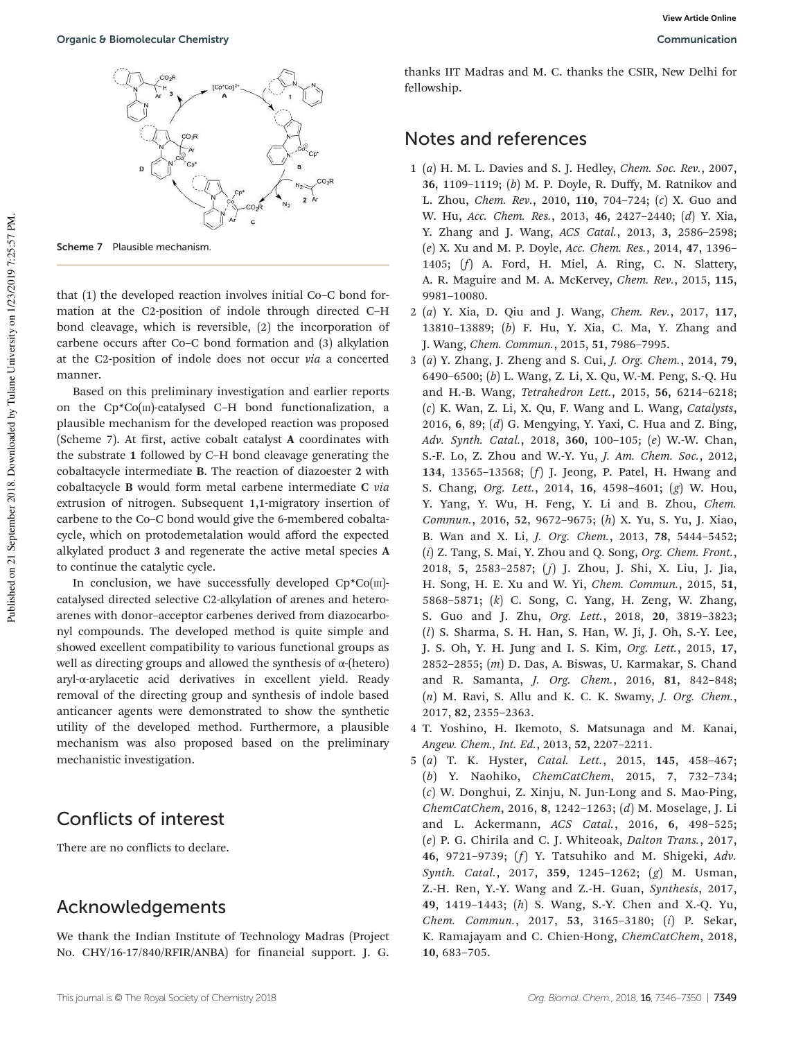

Scheme 7 Plausible mechanism

that (1) the developed reaction involves initial Co–C bond formation at the C2-position of indole through directed C–H bond cleavage, which is reversible, (2) the incorporation of carbene occurs after Co–C bond formation and (3) alkylation at the C2-position of indole does not occur *via* a concerted manner.

Based on this preliminary investigation and earlier reports on the Cp\*Co(III)-catalysed C–H bond functionalization, a plausible mechanism for the developed reaction was proposed (Scheme 7). At first, active cobalt catalyst A coordinates with the substrate 1 followed by C–H bond cleavage generating the cobaltacycle intermediate B. The reaction of diazoester 2 with cobaltacycle B would form metal carbene intermediate C *via* extrusion of nitrogen. Subsequent 1,1-migratory insertion of carbene to the Co–C bond would give the 6-membered cobaltacycle, which on protodemetalation would afford the expected alkylated product 3 and regenerate the active metal species A to continue the catalytic cycle.

In conclusion, we have successfully developed  $Cp*Co(m)$ catalysed directed selective C2-alkylation of arenes and heteroarenes with donor–acceptor carbenes derived from diazocarbonyl compounds. The developed method is quite simple and showed excellent compatibility to various functional groups as well as directing groups and allowed the synthesis of  $\alpha$ -(hetero) aryl-α-arylacetic acid derivatives in excellent yield. Ready removal of the directing group and synthesis of indole based anticancer agents were demonstrated to show the synthetic utility of the developed method. Furthermore, a plausible mechanism was also proposed based on the preliminary mechanistic investigation.

## Conflicts of interest

There are no conflicts to declare.

### Acknowledgements

We thank the Indian Institute of Technology Madras (Project No. CHY/16-17/840/RFIR/ANBA) for financial support. J. G.

**View Article Online**

thanks IIT Madras and M. C. thanks the CSIR, New Delhi for fellowship.

#### Notes and references

- 1 (*a*) H. M. L. Davies and S. J. Hedley, *Chem. Soc. Rev.*, 2007, 36, 1109–1119; (*b*) M. P. Doyle, R. Duffy, M. Ratnikov and L. Zhou, *Chem. Rev.*, 2010, 110, 704–724; (*c*) X. Guo and W. Hu, *Acc. Chem. Res.*, 2013, 46, 2427–2440; (*d*) Y. Xia, Y. Zhang and J. Wang, *ACS Catal.*, 2013, 3, 2586–2598; (*e*) X. Xu and M. P. Doyle, *Acc. Chem. Res.*, 2014, 47, 1396– 1405; (*f*) A. Ford, H. Miel, A. Ring, C. N. Slattery, A. R. Maguire and M. A. McKervey, *Chem. Rev.*, 2015, 115, 9981–10080.
- 2 (*a*) Y. Xia, D. Qiu and J. Wang, *Chem. Rev.*, 2017, 117, 13810–13889; (*b*) F. Hu, Y. Xia, C. Ma, Y. Zhang and J. Wang, *Chem. Commun.*, 2015, 51, 7986–7995.
- 3 (*a*) Y. Zhang, J. Zheng and S. Cui, *J. Org. Chem.*, 2014, 79, 6490–6500; (*b*) L. Wang, Z. Li, X. Qu, W.-M. Peng, S.-Q. Hu and H.-B. Wang, *Tetrahedron Lett.*, 2015, 56, 6214–6218; (*c*) K. Wan, Z. Li, X. Qu, F. Wang and L. Wang, *Catalysts*, 2016, 6, 89; (*d*) G. Mengying, Y. Yaxi, C. Hua and Z. Bing, *Adv. Synth. Catal.*, 2018, 360, 100–105; (*e*) W.-W. Chan, S.-F. Lo, Z. Zhou and W.-Y. Yu, *J. Am. Chem. Soc.*, 2012, 134, 13565–13568; (*f*) J. Jeong, P. Patel, H. Hwang and S. Chang, *Org. Lett.*, 2014, 16, 4598–4601; (*g*) W. Hou, Y. Yang, Y. Wu, H. Feng, Y. Li and B. Zhou, *Chem. Commun.*, 2016, 52, 9672–9675; (*h*) X. Yu, S. Yu, J. Xiao, B. Wan and X. Li, *J. Org. Chem.*, 2013, 78, 5444–5452; (*i*) Z. Tang, S. Mai, Y. Zhou and Q. Song, *Org. Chem. Front.*, 2018, 5, 2583–2587; ( *j*) J. Zhou, J. Shi, X. Liu, J. Jia, H. Song, H. E. Xu and W. Yi, *Chem. Commun.*, 2015, 51, 5868–5871; (*k*) C. Song, C. Yang, H. Zeng, W. Zhang, S. Guo and J. Zhu, *Org. Lett.*, 2018, 20, 3819–3823; (*l*) S. Sharma, S. H. Han, S. Han, W. Ji, J. Oh, S.-Y. Lee, J. S. Oh, Y. H. Jung and I. S. Kim, *Org. Lett.*, 2015, 17, 2852–2855; (*m*) D. Das, A. Biswas, U. Karmakar, S. Chand and R. Samanta, *J. Org. Chem.*, 2016, 81, 842–848; (*n*) M. Ravi, S. Allu and K. C. K. Swamy, *J. Org. Chem.*, 2017, 82, 2355–2363.
- 4 T. Yoshino, H. Ikemoto, S. Matsunaga and M. Kanai, *Angew. Chem., Int. Ed.*, 2013, 52, 2207–2211.
- 5 (*a*) T. K. Hyster, *Catal. Lett.*, 2015, 145, 458–467; (*b*) Y. Naohiko, *ChemCatChem*, 2015, 7, 732–734; (*c*) W. Donghui, Z. Xinju, N. Jun-Long and S. Mao-Ping, *ChemCatChem*, 2016, 8, 1242–1263; (*d*) M. Moselage, J. Li and L. Ackermann, *ACS Catal.*, 2016, 6, 498–525; (*e*) P. G. Chirila and C. J. Whiteoak, *Dalton Trans.*, 2017, 46, 9721–9739; (*f*) Y. Tatsuhiko and M. Shigeki, *Adv. Synth. Catal.*, 2017, 359, 1245–1262; (*g*) M. Usman, Z.-H. Ren, Y.-Y. Wang and Z.-H. Guan, *Synthesis*, 2017, 49, 1419–1443; (*h*) S. Wang, S.-Y. Chen and X.-Q. Yu, *Chem. Commun.*, 2017, 53, 3165–3180; (*i*) P. Sekar, K. Ramajayam and C. Chien-Hong, *ChemCatChem*, 2018, 10, 683–705.